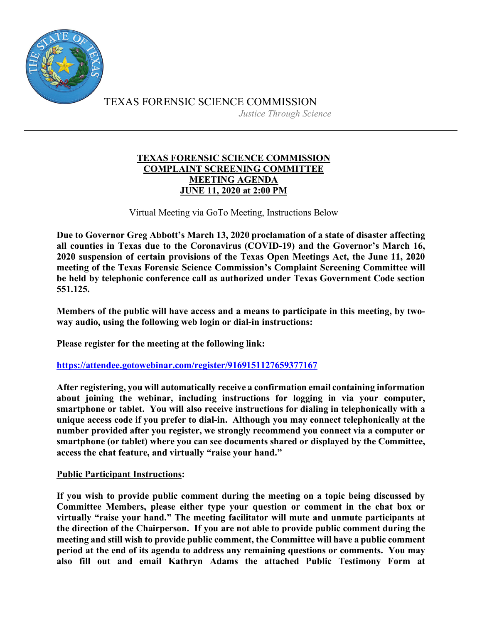

TEXAS FORENSIC SCIENCE COMMISSION *Justice Through Science*

## **TEXAS FORENSIC SCIENCE COMMISSION COMPLAINT SCREENING COMMITTEE MEETING AGENDA JUNE 11, 2020 at 2:00 PM**

Virtual Meeting via GoTo Meeting, Instructions Below

**Due to Governor Greg Abbott's March 13, 2020 proclamation of a state of disaster affecting all counties in Texas due to the Coronavirus (COVID-19) and the Governor's March 16, 2020 suspension of certain provisions of the Texas Open Meetings Act, the June 11, 2020 meeting of the Texas Forensic Science Commission's Complaint Screening Committee will be held by telephonic conference call as authorized under Texas Government Code section 551.125.**

**Members of the public will have access and a means to participate in this meeting, by twoway audio, using the following web login or dial-in instructions:**

**Please register for the meeting at the following link:**

**<https://attendee.gotowebinar.com/register/9169151127659377167>**

**After registering, you will automatically receive a confirmation email containing information about joining the webinar, including instructions for logging in via your computer, smartphone or tablet. You will also receive instructions for dialing in telephonically with a unique access code if you prefer to dial-in. Although you may connect telephonically at the number provided after you register, we strongly recommend you connect via a computer or smartphone (or tablet) where you can see documents shared or displayed by the Committee, access the chat feature, and virtually "raise your hand."** 

## **Public Participant Instructions:**

**If you wish to provide public comment during the meeting on a topic being discussed by Committee Members, please either type your question or comment in the chat box or virtually "raise your hand." The meeting facilitator will mute and unmute participants at the direction of the Chairperson. If you are not able to provide public comment during the meeting and still wish to provide public comment, the Committee will have a public comment period at the end of its agenda to address any remaining questions or comments. You may also fill out and email Kathryn Adams the attached Public Testimony Form at**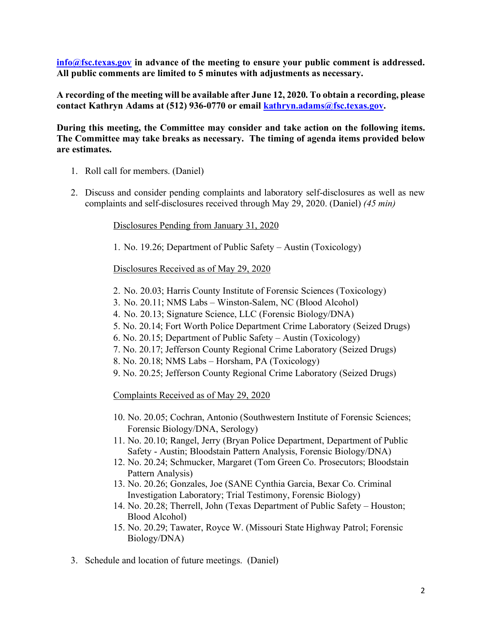**[info@fsc.texas.gov](mailto:info@fsc.texas.gov) in advance of the meeting to ensure your public comment is addressed. All public comments are limited to 5 minutes with adjustments as necessary.** 

**A recording of the meeting will be available after June 12, 2020. To obtain a recording, please contact Kathryn Adams at (512) 936-0770 or email [kathryn.adams@fsc.texas.gov.](mailto:info@fsc.texas.gov)**

**During this meeting, the Committee may consider and take action on the following items. The Committee may take breaks as necessary. The timing of agenda items provided below are estimates.** 

- 1. Roll call for members. (Daniel)
- 2. Discuss and consider pending complaints and laboratory self-disclosures as well as new complaints and self-disclosures received through May 29, 2020. (Daniel) *(45 min)*

Disclosures Pending from January 31, 2020

1. No. 19.26; Department of Public Safety – Austin (Toxicology)

Disclosures Received as of May 29, 2020

- 2. No. 20.03; Harris County Institute of Forensic Sciences (Toxicology)
- 3. No. 20.11; NMS Labs Winston-Salem, NC (Blood Alcohol)
- 4. No. 20.13; Signature Science, LLC (Forensic Biology/DNA)
- 5. No. 20.14; Fort Worth Police Department Crime Laboratory (Seized Drugs)
- 6. No. 20.15; Department of Public Safety Austin (Toxicology)
- 7. No. 20.17; Jefferson County Regional Crime Laboratory (Seized Drugs)
- 8. No. 20.18; NMS Labs Horsham, PA (Toxicology)
- 9. No. 20.25; Jefferson County Regional Crime Laboratory (Seized Drugs)

Complaints Received as of May 29, 2020

- 10. No. 20.05; Cochran, Antonio (Southwestern Institute of Forensic Sciences; Forensic Biology/DNA, Serology)
- 11. No. 20.10; Rangel, Jerry (Bryan Police Department, Department of Public Safety - Austin; Bloodstain Pattern Analysis, Forensic Biology/DNA)
- 12. No. 20.24; Schmucker, Margaret (Tom Green Co. Prosecutors; Bloodstain Pattern Analysis)
- 13. No. 20.26; Gonzales, Joe (SANE Cynthia Garcia, Bexar Co. Criminal Investigation Laboratory; Trial Testimony, Forensic Biology)
- 14. No. 20.28; Therrell, John (Texas Department of Public Safety Houston; Blood Alcohol)
- 15. No. 20.29; Tawater, Royce W. (Missouri State Highway Patrol; Forensic Biology/DNA)
- 3. Schedule and location of future meetings. (Daniel)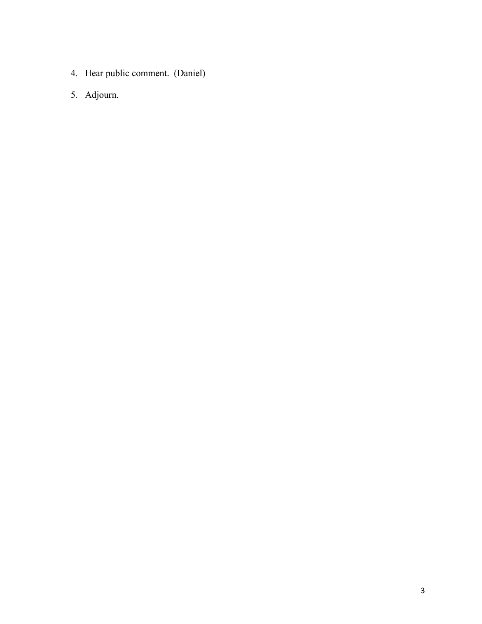- 4. Hear public comment. (Daniel)
- 5. Adjourn.